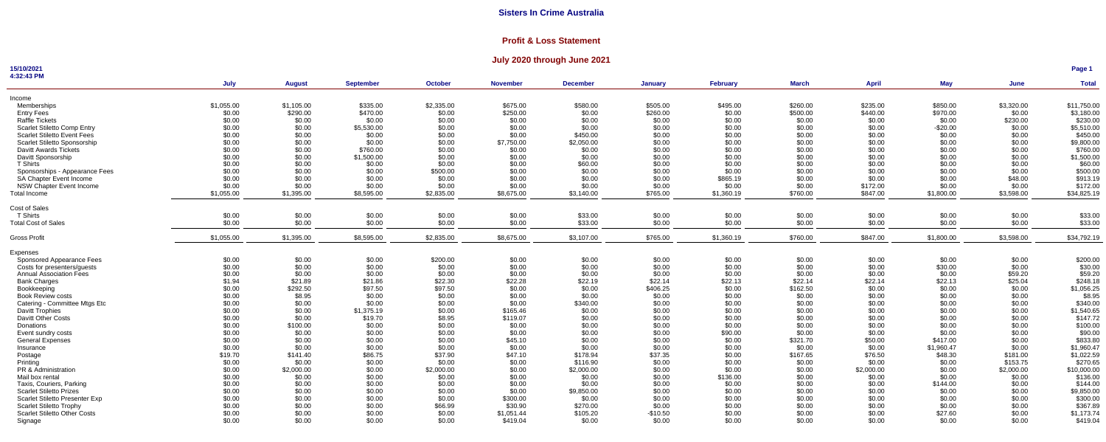## **Profit & Loss Statement**

## **July 2020 through June 2021**

#### **15/10/2021**

**Page 1**

| 4:32:43 PM                          |            |               |                  |                |                 |                 |                |                 |              |              |            |            |              |
|-------------------------------------|------------|---------------|------------------|----------------|-----------------|-----------------|----------------|-----------------|--------------|--------------|------------|------------|--------------|
|                                     | July       | <b>August</b> | <b>September</b> | <b>October</b> | <b>November</b> | <b>December</b> | <b>January</b> | <b>February</b> | <b>March</b> | <b>April</b> | <b>May</b> | June       | <b>Total</b> |
| Income                              |            |               |                  |                |                 |                 |                |                 |              |              |            |            |              |
| Memberships                         | \$1,055.00 | \$1,105.00    | \$335.00         | \$2,335.00     | \$675.00        | \$580.00        | \$505.00       | \$495.00        | \$260.00     | \$235.00     | \$850.00   | \$3,320.00 | \$11,750.00  |
| <b>Entry Fees</b>                   | \$0.00     | \$290.00      | \$470.00         | \$0.00         | \$250.00        | \$0.00          | \$260.00       | \$0.00          | \$500.00     | \$440.00     | \$970.00   | \$0.00     | \$3,180.00   |
| Raffle Tickets                      | \$0.00     | \$0.00        | \$0.00           | \$0.00         | \$0.00          | \$0.00          | \$0.00         | \$0.00          | \$0.00       | \$0.00       | \$0.00     | \$230.00   | \$230.00     |
| <b>Scarlet Stiletto Comp Entry</b>  | \$0.00     | \$0.00        | \$5,530.00       | \$0.00         | \$0.00          | \$0.00          | \$0.00         | \$0.00          | \$0.00       | \$0.00       | $-$20.00$  | \$0.00     | \$5,510.00   |
| <b>Scarlet Stiletto Event Fees</b>  | \$0.00     | \$0.00        | \$0.00           | \$0.00         | \$0.00          | \$450.00        | \$0.00         | \$0.00          | \$0.00       | \$0.00       | \$0.00     | \$0.00     | \$450.00     |
| Scarlet Stiletto Sponsorship        | \$0.00     | \$0.00        | \$0.00           | \$0.00         | \$7,750.00      | \$2,050.00      | \$0.00         | \$0.00          | \$0.00       | \$0.00       | \$0.00     | \$0.00     | \$9,800.00   |
| <b>Davitt Awards Tickets</b>        | \$0.00     | \$0.00        | \$760.00         | \$0.00         | \$0.00          | \$0.00          | \$0.00         | \$0.00          | \$0.00       | \$0.00       | \$0.00     | \$0.00     | \$760.00     |
| Davitt Sponsorship                  | \$0.00     | \$0.00        | \$1,500.00       | \$0.00         | \$0.00          | \$0.00          | \$0.00         | \$0.00          | \$0.00       | \$0.00       | \$0.00     | \$0.00     | \$1,500.00   |
| <b>T</b> Shirts                     | \$0.00     | \$0.00        | \$0.00           | \$0.00         | \$0.00          | \$60.00         | \$0.00         | \$0.00          | \$0.00       | \$0.00       | \$0.00     | \$0.00     | \$60.00      |
| Sponsorships - Appearance Fees      | \$0.00     | \$0.00        | \$0.00           | \$500.00       | \$0.00          | \$0.00          | \$0.00         | \$0.00          | \$0.00       | \$0.00       | \$0.00     | \$0.00     | \$500.00     |
| <b>SA Chapter Event Income</b>      | \$0.00     | \$0.00        | \$0.00           | \$0.00         | \$0.00          | \$0.00          | \$0.00         | \$865.19        | \$0.00       | \$0.00       | \$0.00     | \$48.00    | \$913.19     |
| <b>NSW Chapter Event Income</b>     | \$0.00     | \$0.00        | \$0.00           | \$0.00         | \$0.00          | \$0.00          | \$0.00         | \$0.00          | \$0.00       | \$172.00     | \$0.00     | \$0.00     | \$172.00     |
| Total Income                        | \$1,055.00 | \$1,395.00    | \$8,595.00       | \$2,835.00     | \$8,675.00      | \$3,140.00      | \$765.00       | \$1,360.19      | \$760.00     | \$847.00     | \$1,800.00 | \$3,598.00 | \$34,825.19  |
|                                     |            |               |                  |                |                 |                 |                |                 |              |              |            |            |              |
| Cost of Sales                       |            |               |                  |                |                 |                 |                |                 |              |              |            |            |              |
| T Shirts                            | \$0.00     | \$0.00        | \$0.00           | \$0.00         | \$0.00          | \$33.00         | \$0.00         | \$0.00          | \$0.00       | \$0.00       | \$0.00     | \$0.00     | \$33.00      |
| <b>Total Cost of Sales</b>          | \$0.00     | \$0.00        | \$0.00           | \$0.00         | \$0.00          | \$33.00         | \$0.00         | \$0.00          | \$0.00       | \$0.00       | \$0.00     | \$0.00     | \$33.00      |
| <b>Gross Profit</b>                 | \$1,055.00 | \$1,395.00    | \$8,595.00       | \$2,835.00     | \$8,675.00      | \$3,107.00      | \$765.00       | \$1,360.19      | \$760.00     | \$847.00     | \$1,800.00 | \$3,598.00 | \$34,792.19  |
| Expenses                            |            |               |                  |                |                 |                 |                |                 |              |              |            |            |              |
| Sponsored Appearance Fees           | \$0.00     | \$0.00        | \$0.00           | \$200.00       | \$0.00          | \$0.00          | \$0.00         | \$0.00          | \$0.00       | \$0.00       | \$0.00     | \$0.00     | \$200.00     |
| Costs for presenters/guests         | \$0.00     | \$0.00        | \$0.00           | \$0.00         | \$0.00          | \$0.00          | \$0.00         | \$0.00          | \$0.00       | \$0.00       | \$30.00    | \$0.00     | \$30.00      |
| <b>Annual Association Fees</b>      | \$0.00     | \$0.00        | \$0.00           | \$0.00         | \$0.00          | \$0.00          | \$0.00         | \$0.00          | \$0.00       | \$0.00       | \$0.00     | \$59.20    | \$59.20      |
| <b>Bank Charges</b>                 | \$1.94     | \$21.89       | \$21.86          | \$22.30        | \$22.28         | \$22.19         | \$22.14        | \$22.13         | \$22.14      | \$22.14      | \$22.13    | \$25.04    | \$248.18     |
| Bookkeeping                         | \$0.00     | \$292.50      | \$97.50          | \$97.50        | \$0.00          | \$0.00          | \$406.25       | \$0.00          | \$162.50     | \$0.00       | \$0.00     | \$0.00     | \$1,056.25   |
| <b>Book Review costs</b>            | \$0.00     | \$8.95        | \$0.00           | \$0.00         | \$0.00          | \$0.00          | \$0.00         | \$0.00          | \$0.00       | \$0.00       | \$0.00     | \$0.00     | \$8.95       |
| Catering - Committee Mtgs Etc       | \$0.00     | \$0.00        | \$0.00           | \$0.00         | \$0.00          | \$340.00        | \$0.00         | \$0.00          | \$0.00       | \$0.00       | \$0.00     | \$0.00     | \$340.00     |
| <b>Davitt Trophies</b>              | \$0.00     | \$0.00        | \$1,375.19       | \$0.00         | \$165.46        | \$0.00          | \$0.00         | \$0.00          | \$0.00       | \$0.00       | \$0.00     | \$0.00     | \$1,540.65   |
| Davitt Other Costs                  | \$0.00     | \$0.00        | \$19.70          | \$8.95         | \$119.07        | \$0.00          | \$0.00         | \$0.00          | \$0.00       | \$0.00       | \$0.00     | \$0.00     | \$147.72     |
| Donations                           | \$0.00     | \$100.00      | \$0.00           | \$0.00         | \$0.00          | \$0.00          | \$0.00         | \$0.00          | \$0.00       | \$0.00       | \$0.00     | \$0.00     | \$100.00     |
| Event sundry costs                  | \$0.00     | \$0.00        | \$0.00           | \$0.00         | \$0.00          | \$0.00          | \$0.00         | \$90.00         | \$0.00       | \$0.00       | \$0.00     | \$0.00     | \$90.00      |
| <b>General Expenses</b>             | \$0.00     | \$0.00        | \$0.00           | \$0.00         | \$45.10         | \$0.00          | \$0.00         | \$0.00          | \$321.70     | \$50.00      | \$417.00   | \$0.00     | \$833.80     |
| Insurance                           | \$0.00     | \$0.00        | \$0.00           | \$0.00         | \$0.00          | \$0.00          | \$0.00         | \$0.00          | \$0.00       | \$0.00       | \$1,960.47 | \$0.00     | \$1,960.47   |
| Postage                             | \$19.70    | \$141.40      | \$86.75          | \$37.90        | \$47.10         | \$178.94        | \$37.35        | \$0.00          | \$167.65     | \$76.50      | \$48.30    | \$181.00   | \$1,022.59   |
| Printing                            | \$0.00     | \$0.00        | \$0.00           | \$0.00         | \$0.00          | \$116.90        | \$0.00         | \$0.00          | \$0.00       | \$0.00       | \$0.00     | \$153.75   | \$270.65     |
| PR & Administration                 | \$0.00     | \$2,000.00    | \$0.00           | \$2,000.00     | \$0.00          | \$2,000.00      | \$0.00         | \$0.00          | \$0.00       | \$2,000.00   | \$0.00     | \$2,000.00 | \$10,000.00  |
|                                     | \$0.00     | \$0.00        | \$0.00           |                | \$0.00          | \$0.00          | \$0.00         |                 | \$0.00       | \$0.00       |            | \$0.00     | \$136.00     |
| Mail box rental                     |            |               |                  | \$0.00         |                 |                 |                | \$136.00        |              |              | \$0.00     |            |              |
| Taxis, Couriers, Parking            | \$0.00     | \$0.00        | \$0.00           | \$0.00         | \$0.00          | \$0.00          | \$0.00         | \$0.00          | \$0.00       | \$0.00       | \$144.00   | \$0.00     | \$144.00     |
| <b>Scarlet Stiletto Prizes</b>      | \$0.00     | \$0.00        | \$0.00           | \$0.00         | \$0.00          | \$9,850.00      | \$0.00         | \$0.00          | \$0.00       | \$0.00       | \$0.00     | \$0.00     | \$9,850.00   |
| Scarlet Stiletto Presenter Exp      | \$0.00     | \$0.00        | \$0.00           | \$0.00         | \$300.00        | \$0.00          | \$0.00         | \$0.00          | \$0.00       | \$0.00       | \$0.00     | \$0.00     | \$300.00     |
| <b>Scarlet Stiletto Trophy</b>      | \$0.00     | \$0.00        | \$0.00           | \$66.99        | \$30.90         | \$270.00        | \$0.00         | \$0.00          | \$0.00       | \$0.00       | \$0.00     | \$0.00     | \$367.89     |
| <b>Scarlet Stiletto Other Costs</b> | \$0.00     | \$0.00        | \$0.00           | \$0.00         | \$1,051.44      | \$105.20        | $-$10.50$      | \$0.00          | \$0.00       | \$0.00       | \$27.60    | \$0.00     | \$1,173.74   |
| Signage                             | \$0.00     | \$0.00        | \$0.00           | \$0.00         | \$419.04        | \$0.00          | \$0.00         | \$0.00          | \$0.00       | \$0.00       | \$0.00     | \$0.00     | \$419.04     |